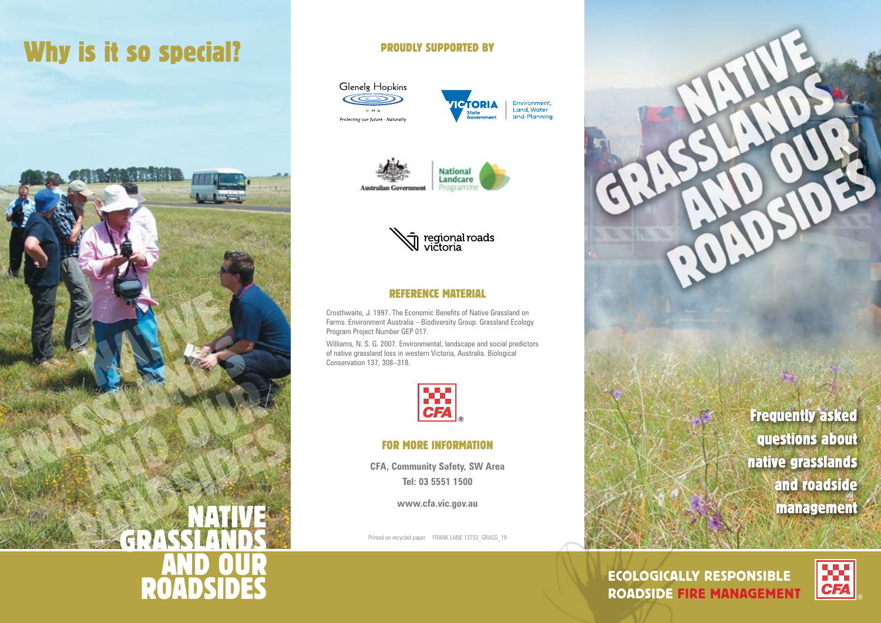# Why is it so special?



#### PROUDLY SUPPORTED BY











#### REFERENCE MATERIAL

Crosthwaite, J. 1997. The Economic Benefits of Native Grassland on Farms. Environment Australia – Biodiversity Group. Grassland Ecology Program Project Number GEP 017.

Williams, N. S. G. 2007. Environmental, landscape and social predictors of native grassland loss in western Victoria, Australia. Biological Conservation 137, 308–318.



#### FOR MORE INFORMATION

**CFA, Community Safety, SW Area Tel: 03 5551 1500**

**www.cfa.vic.gov.au**

Printed on recycled paper FRANK LANE 13733 GRASS 19

Frequently asked questions about native grasslands and roadside management

ECOLOGICALLY RESPONSIBLE ROADSIDE FIRE MANAGEMENT